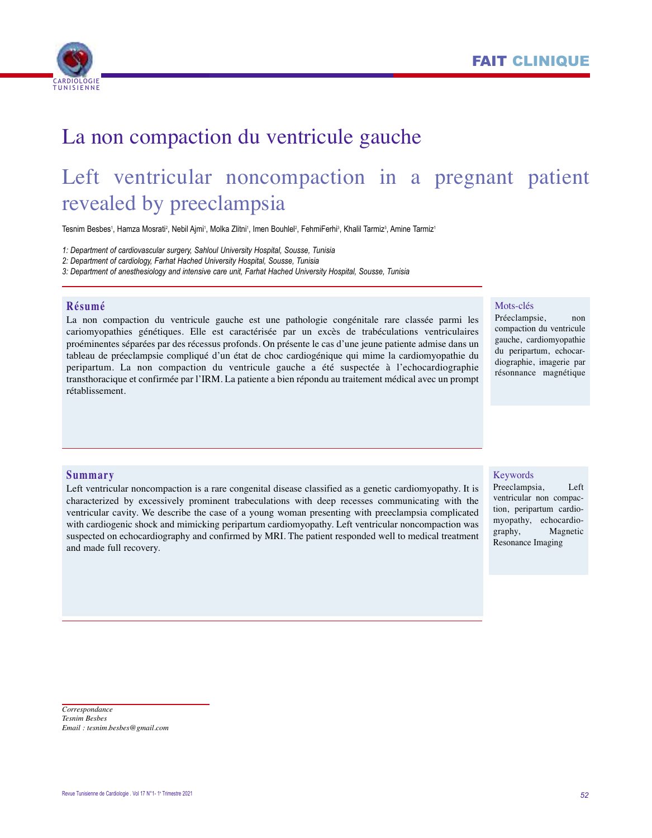



# La non compaction du ventricule gauche

# Left ventricular noncompaction in a pregnant patient revealed by preeclampsia

Tesnim Besbes', Hamza Mosrati<sup>2</sup>, Nebil Ajmi', Molka Zlitni', Imen Bouhlel<sup>2</sup>, FehmiFerhi<sup>3</sup>, Khalil Tarmiz<sup>s</sup>, Amine Tarmiz'

*1: Department of cardiovascular surgery, Sahloul University Hospital, Sousse, Tunisia*

*2: Department of cardiology, Farhat Hached University Hospital, Sousse, Tunisia*

*3: Department of anesthesiology and intensive care unit, Farhat Hached University Hospital, Sousse, Tunisia*

## **Résumé**

La non compaction du ventricule gauche est une pathologie congénitale rare classée parmi les cariomyopathies génétiques. Elle est caractérisée par un excès de trabéculations ventriculaires proéminentes séparées par des récessus profonds. On présente le cas d'une jeune patiente admise dans un tableau de préeclampsie compliqué d'un état de choc cardiogénique qui mime la cardiomyopathie du peripartum. La non compaction du ventricule gauche a été suspectée à l'echocardiographie transthoracique et confirmée par l'IRM. La patiente a bien répondu au traitement médical avec un prompt rétablissement.

#### Mots-clés

Préeclampsie, non compaction du ventricule gauche, cardiomyopathie du peripartum, echocardiographie, imagerie par résonnance magnétique

#### **Summary**

Left ventricular noncompaction is a rare congenital disease classified as a genetic cardiomyopathy. It is characterized by excessively prominent trabeculations with deep recesses communicating with the ventricular cavity. We describe the case of a young woman presenting with preeclampsia complicated with cardiogenic shock and mimicking peripartum cardiomyopathy. Left ventricular noncompaction was suspected on echocardiography and confirmed by MRI. The patient responded well to medical treatment and made full recovery.

#### Keywords

Preeclampsia, Left ventricular non compaction, peripartum cardiomyopathy, echocardiography, Magnetic Resonance Imaging

*Correspondance Tesnim Besbes Email : tesnim.besbes@gmail.com*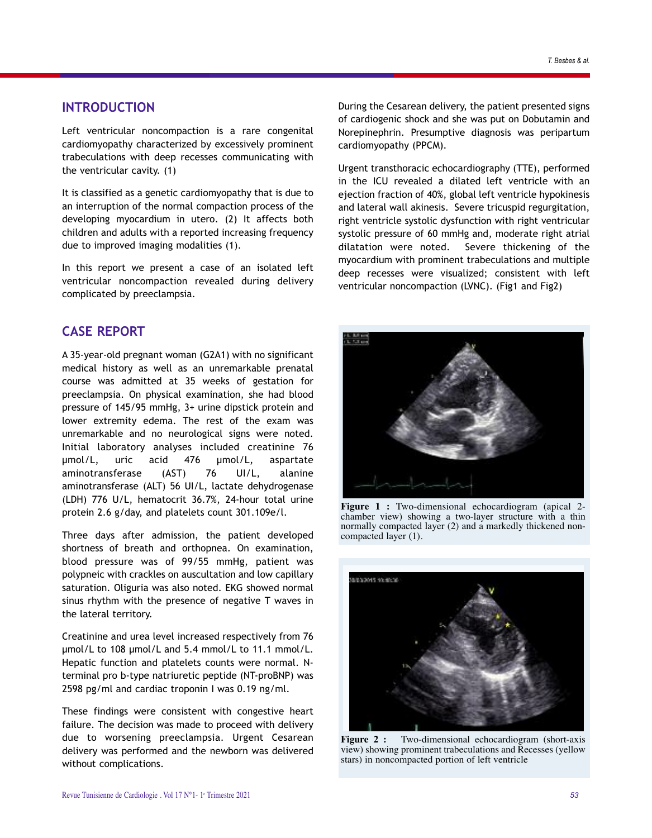## **INTRODUCTION**

left ventricular noncompaction is a rare congenital cardiomyopathy characterized by excessively prominent trabeculations with deep recesses communicating with the ventricular cavity. (1)

it is classified as a genetic cardiomyopathy that is due to an interruption of the normal compaction process of the developing myocardium in utero. (2) it affects both children and adults with a reported increasing frequency due to improved imaging modalities (1).

in this report we present a case of an isolated left ventricular noncompaction revealed during delivery complicated by preeclampsia.

# **CASE REPORT**

a 35-year-old pregnant woman (g2a1) with no significant medical history as well as an unremarkable prenatal course was admitted at 35 weeks of gestation for preeclampsia. on physical examination, she had blood pressure of 145/95 mmHg, 3+ urine dipstick protein and lower extremity edema. The rest of the exam was unremarkable and no neurological signs were noted. initial laboratory analyses included creatinine 76 µmol/l, uric acid 476 µmol/l, aspartate aminotransferase (AST) 76 UI/L, alanine aminotransferase (ALT) 56 UI/L, lactate dehydrogenase (LDH) 776 U/L, hematocrit 36.7%, 24-hour total urine protein 2.6 g/day, and platelets count 301.109e/l.

Three days after admission, the patient developed shortness of breath and orthopnea. On examination, blood pressure was of 99/55 mmHg, patient was polypneic with crackles on auscultation and low capillary saturation. Oliguria was also noted. EKG showed normal sinus rhythm with the presence of negative T waves in the lateral territory.

Creatinine and urea level increased respectively from 76 µmol/l to 108 µmol/l and 5.4 mmol/l to 11.1 mmol/l. Hepatic function and platelets counts were normal. Nterminal pro b-type natriuretic peptide (nT-proBnP) was 2598 pg/ml and cardiac troponin I was 0.19 ng/ml.

These findings were consistent with congestive heart failure. The decision was made to proceed with delivery due to worsening preeclampsia. Urgent Cesarean delivery was performed and the newborn was delivered without complications.

During the Cesarean delivery, the patient presented signs of cardiogenic shock and she was put on Dobutamin and Norepinephrin. Presumptive diagnosis was peripartum cardiomyopathy (PPCM).

Urgent transthoracic echocardiography (TTE), performed in the iCu revealed a dilated left ventricle with an ejection fraction of 40%, global left ventricle hypokinesis and lateral wall akinesis. severe tricuspid regurgitation, right ventricle systolic dysfunction with right ventricular systolic pressure of 60 mmHg and, moderate right atrial dilatation were noted. severe thickening of the myocardium with prominent trabeculations and multiple deep recesses were visualized; consistent with left ventricular noncompaction (lVnC). (Fig1 and Fig2)



**Figure 1 :** Two-dimensional echocardiogram (apical 2 chamber view) showing a two-layer structure with a thin normally compacted layer (2) and a markedly thickened noncompacted layer (1).



**Figure 2 :** Two-dimensional echocardiogram (short-axis view) showing prominent trabeculations and Recesses (yellow stars) in noncompacted portion of left ventricle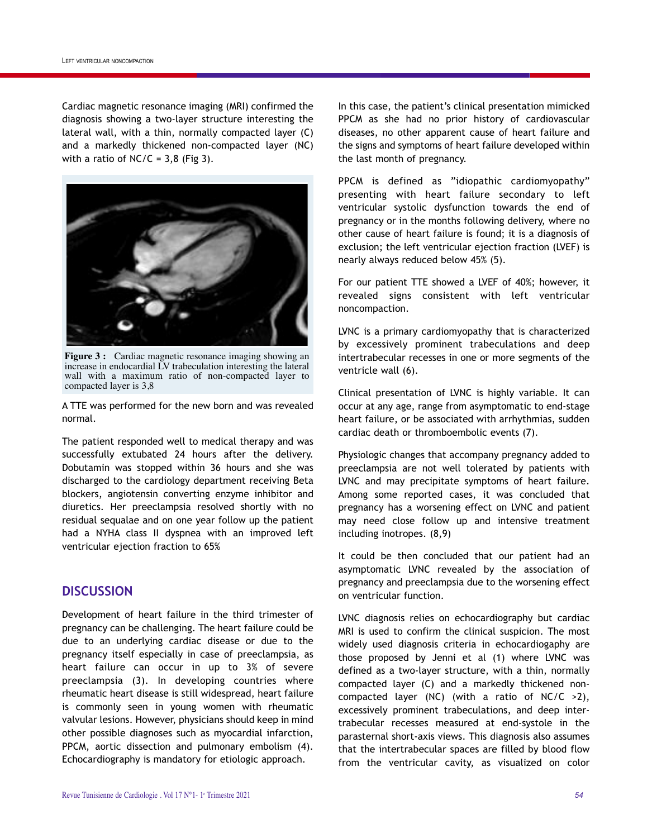Cardiac magnetic resonance imaging (MRI) confirmed the diagnosis showing a two-layer structure interesting the lateral wall, with a thin, normally compacted layer (C) and a markedly thickened non-compacted layer (nC) with a ratio of  $NC/C = 3,8$  (Fig 3).



**Figure 3 :** Cardiac magnetic resonance imaging showing an increase in endocardial LV trabeculation interesting the lateral wall with a maximum ratio of non-compacted layer to compacted layer is 3.8

a TTe was performed for the new born and was revealed normal.

The patient responded well to medical therapy and was successfully extubated 24 hours after the delivery. Dobutamin was stopped within 36 hours and she was discharged to the cardiology department receiving Beta blockers, angiotensin converting enzyme inhibitor and diuretics. Her preeclampsia resolved shortly with no residual sequalae and on one year follow up the patient had a NYHA class II dyspnea with an improved left ventricular ejection fraction to 65%

# **DISCUSSION**

Development of heart failure in the third trimester of pregnancy can be challenging. The heart failure could be due to an underlying cardiac disease or due to the pregnancy itself especially in case of preeclampsia, as heart failure can occur in up to 3% of severe preeclampsia (3). in developing countries where rheumatic heart disease is still widespread, heart failure is commonly seen in young women with rheumatic valvular lesions. However, physicians should keep in mind other possible diagnoses such as myocardial infarction, PPCM, aortic dissection and pulmonary embolism (4). Echocardiography is mandatory for etiologic approach.

in this case, the patient's clinical presentation mimicked PPCM as she had no prior history of cardiovascular diseases, no other apparent cause of heart failure and the signs and symptoms of heart failure developed within the last month of pregnancy.

PPCM is defined as "idiopathic cardiomyopathy" presenting with heart failure secondary to left ventricular systolic dysfunction towards the end of pregnancy or in the months following delivery, where no other cause of heart failure is found; it is a diagnosis of exclusion; the left ventricular ejection fraction (LVEF) is nearly always reduced below 45% (5).

For our patient TTe showed a lVeF of 40%; however, it revealed signs consistent with left ventricular noncompaction.

lVnC is a primary cardiomyopathy that is characterized by excessively prominent trabeculations and deep intertrabecular recesses in one or more segments of the ventricle wall (6).

Clinical presentation of lVnC is highly variable. it can occur at any age, range from asymptomatic to end-stage heart failure, or be associated with arrhythmias, sudden cardiac death or thromboembolic events (7).

Physiologic changes that accompany pregnancy added to preeclampsia are not well tolerated by patients with lVnC and may precipitate symptoms of heart failure. among some reported cases, it was concluded that pregnancy has a worsening effect on lVnC and patient may need close follow up and intensive treatment including inotropes. (8,9)

It could be then concluded that our patient had an asymptomatic lVnC revealed by the association of pregnancy and preeclampsia due to the worsening effect on ventricular function.

lVnC diagnosis relies on echocardiography but cardiac MRI is used to confirm the clinical suspicion. The most widely used diagnosis criteria in echocardiogaphy are those proposed by Jenni et al (1) where lVnC was defined as a two-layer structure, with a thin, normally compacted layer (C) and a markedly thickened noncompacted layer (NC) (with a ratio of NC/C  $>2$ ), excessively prominent trabeculations, and deep intertrabecular recesses measured at end-systole in the parasternal short-axis views. This diagnosis also assumes that the intertrabecular spaces are filled by blood flow from the ventricular cavity, as visualized on color